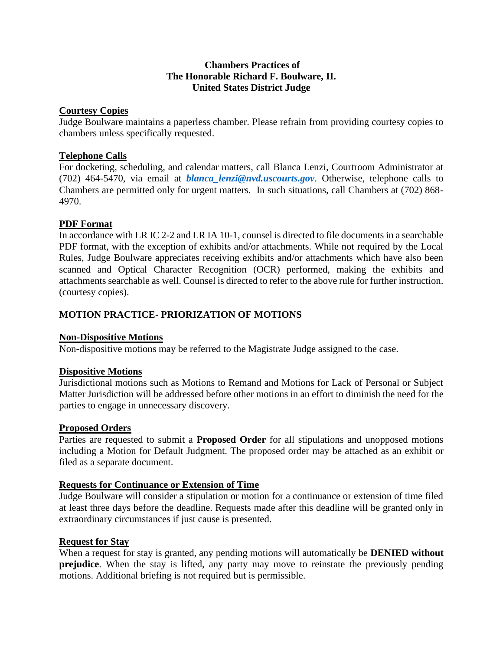### **Chambers Practices of The Honorable Richard F. Boulware, II. United States District Judge**

### **Courtesy Copies**

Judge Boulware maintains a paperless chamber. Please refrain from providing courtesy copies to chambers unless specifically requested.

### **Telephone Calls**

For docketing, scheduling, and calendar matters, call Blanca Lenzi, Courtroom Administrator at (702) 464-5470, via email at *[blanca\\_lenzi@nvd.uscourts.gov](mailto:blanca_lenzi@nvd.uscourts.gov)*. Otherwise, telephone calls to Chambers are permitted only for urgent matters. In such situations, call Chambers at (702) 868- 4970.

### **PDF Format**

In accordance with LR IC 2-2 and LR IA 10-1, counsel is directed to file documents in a searchable PDF format, with the exception of exhibits and/or attachments. While not required by the Local Rules, Judge Boulware appreciates receiving exhibits and/or attachments which have also been scanned and Optical Character Recognition (OCR) performed, making the exhibits and attachments searchable as well. Counsel is directed to refer to the above rule for further instruction. (courtesy copies).

# **MOTION PRACTICE- PRIORIZATION OF MOTIONS**

# **Non-Dispositive Motions**

Non-dispositive motions may be referred to the Magistrate Judge assigned to the case.

### **Dispositive Motions**

Jurisdictional motions such as Motions to Remand and Motions for Lack of Personal or Subject Matter Jurisdiction will be addressed before other motions in an effort to diminish the need for the parties to engage in unnecessary discovery.

### **Proposed Orders**

Parties are requested to submit a **Proposed Order** for all stipulations and unopposed motions including a Motion for Default Judgment. The proposed order may be attached as an exhibit or filed as a separate document.

### **Requests for Continuance or Extension of Time**

Judge Boulware will consider a stipulation or motion for a continuance or extension of time filed at least three days before the deadline. Requests made after this deadline will be granted only in extraordinary circumstances if just cause is presented.

### **Request for Stay**

When a request for stay is granted, any pending motions will automatically be **DENIED without prejudice**. When the stay is lifted, any party may move to reinstate the previously pending motions. Additional briefing is not required but is permissible.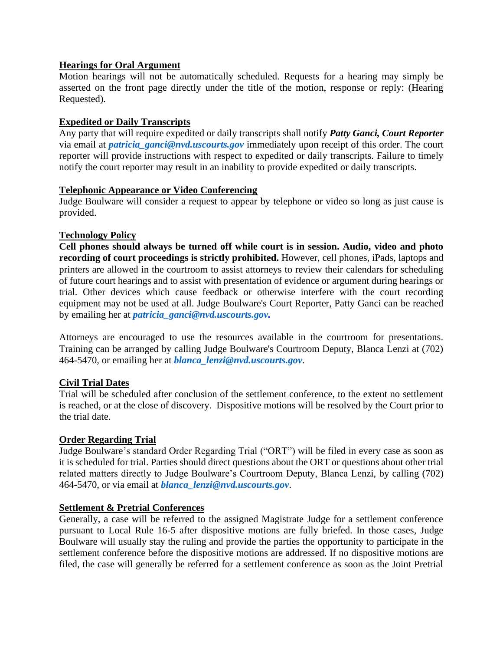### **Hearings for Oral Argument**

Motion hearings will not be automatically scheduled. Requests for a hearing may simply be asserted on the front page directly under the title of the motion, response or reply: (Hearing Requested).

### **Expedited or Daily Transcripts**

Any party that will require expedited or daily transcripts shall notify *Patty Ganci, Court Reporter*  via email at *[patricia\\_ganci@nvd.uscourts.gov](mailto:patricia_ganci@nvd.uscourts.gov)* immediately upon receipt of this order. The court reporter will provide instructions with respect to expedited or daily transcripts. Failure to timely notify the court reporter may result in an inability to provide expedited or daily transcripts.

### **Telephonic Appearance or Video Conferencing**

Judge Boulware will consider a request to appear by telephone or video so long as just cause is provided.

### **Technology Policy**

**Cell phones should always be turned off while court is in session. Audio, video and photo recording of court proceedings is strictly prohibited.** However, cell phones, iPads, laptops and printers are allowed in the courtroom to assist attorneys to review their calendars for scheduling of future court hearings and to assist with presentation of evidence or argument during hearings or trial. Other devices which cause feedback or otherwise interfere with the court recording equipment may not be used at all. Judge Boulware's Court Reporter, Patty Ganci can be reached by emailing her at *[patricia\\_ganci@nvd.uscourts.gov.](mailto:patricia_ganci@nvd.uscourts.gov)*

Attorneys are encouraged to use the resources available in the courtroom for presentations. Training can be arranged by calling Judge Boulware's Courtroom Deputy, Blanca Lenzi at (702) 464-5470, or emailing her at *[blanca\\_lenzi@nvd.uscourts.gov](mailto:blanca_lenzi@nvd.uscourts.gov)*.

# **Civil Trial Dates**

Trial will be scheduled after conclusion of the settlement conference, to the extent no settlement is reached, or at the close of discovery. Dispositive motions will be resolved by the Court prior to the trial date.

### **Order Regarding Trial**

Judge Boulware's standard Order Regarding Trial ("ORT") will be filed in every case as soon as it is scheduled for trial. Parties should direct questions about the ORT or questions about other trial related matters directly to Judge Boulware's Courtroom Deputy, Blanca Lenzi, by calling (702) 464-5470, or via email at *[blanca\\_lenzi@nvd.uscourts.gov](mailto:blanca_lenzi@nvd.uscourts.gov)*.

### **Settlement & Pretrial Conferences**

Generally, a case will be referred to the assigned Magistrate Judge for a settlement conference pursuant to Local Rule 16-5 after dispositive motions are fully briefed. In those cases, Judge Boulware will usually stay the ruling and provide the parties the opportunity to participate in the settlement conference before the dispositive motions are addressed. If no dispositive motions are filed, the case will generally be referred for a settlement conference as soon as the Joint Pretrial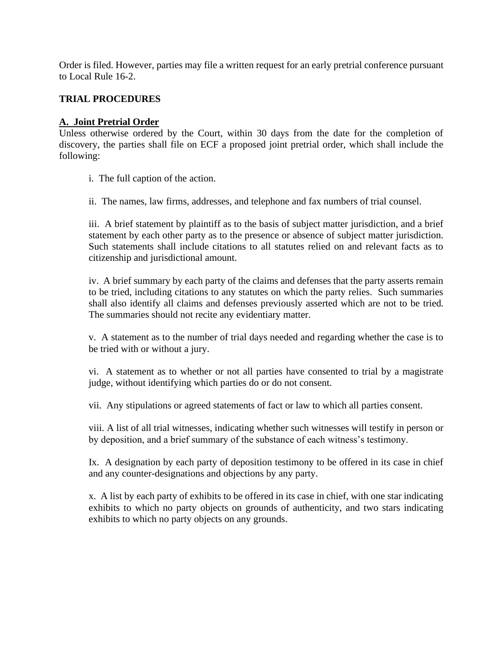Order is filed. However, parties may file a written request for an early pretrial conference pursuant to Local Rule 16-2.

## **TRIAL PROCEDURES**

### **A. Joint Pretrial Order**

Unless otherwise ordered by the Court, within 30 days from the date for the completion of discovery, the parties shall file on ECF a proposed joint pretrial order, which shall include the following:

i. The full caption of the action.

ii. The names, law firms, addresses, and telephone and fax numbers of trial counsel.

iii. A brief statement by plaintiff as to the basis of subject matter jurisdiction, and a brief statement by each other party as to the presence or absence of subject matter jurisdiction. Such statements shall include citations to all statutes relied on and relevant facts as to citizenship and jurisdictional amount.

iv. A brief summary by each party of the claims and defenses that the party asserts remain to be tried, including citations to any statutes on which the party relies. Such summaries shall also identify all claims and defenses previously asserted which are not to be tried. The summaries should not recite any evidentiary matter.

v. A statement as to the number of trial days needed and regarding whether the case is to be tried with or without a jury.

vi. A statement as to whether or not all parties have consented to trial by a magistrate judge, without identifying which parties do or do not consent.

vii. Any stipulations or agreed statements of fact or law to which all parties consent.

viii. A list of all trial witnesses, indicating whether such witnesses will testify in person or by deposition, and a brief summary of the substance of each witness's testimony.

Ix. A designation by each party of deposition testimony to be offered in its case in chief and any counter-designations and objections by any party.

x. A list by each party of exhibits to be offered in its case in chief, with one star indicating exhibits to which no party objects on grounds of authenticity, and two stars indicating exhibits to which no party objects on any grounds.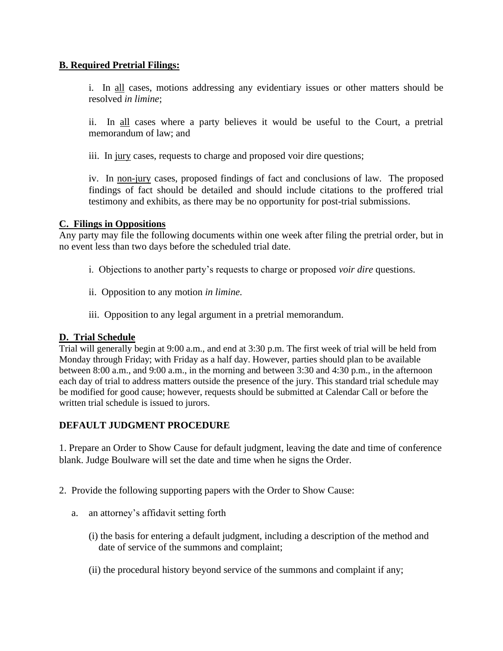## **B. Required Pretrial Filings:**

i. In all cases, motions addressing any evidentiary issues or other matters should be resolved *in limine*;

ii. In all cases where a party believes it would be useful to the Court, a pretrial memorandum of law; and

iii. In jury cases, requests to charge and proposed voir dire questions;

iv. In non-jury cases, proposed findings of fact and conclusions of law. The proposed findings of fact should be detailed and should include citations to the proffered trial testimony and exhibits, as there may be no opportunity for post-trial submissions.

### **C. Filings in Oppositions**

Any party may file the following documents within one week after filing the pretrial order, but in no event less than two days before the scheduled trial date.

- i. Objections to another party's requests to charge or proposed *voir dire* questions.
- ii. Opposition to any motion *in limine.*
- iii. Opposition to any legal argument in a pretrial memorandum.

### **D. Trial Schedule**

Trial will generally begin at 9:00 a.m., and end at 3:30 p.m. The first week of trial will be held from Monday through Friday; with Friday as a half day. However, parties should plan to be available between 8:00 a.m., and 9:00 a.m., in the morning and between 3:30 and 4:30 p.m., in the afternoon each day of trial to address matters outside the presence of the jury. This standard trial schedule may be modified for good cause; however, requests should be submitted at Calendar Call or before the written trial schedule is issued to jurors.

# **DEFAULT JUDGMENT PROCEDURE**

1. Prepare an Order to Show Cause for default judgment, leaving the date and time of conference blank. Judge Boulware will set the date and time when he signs the Order.

### 2. Provide the following supporting papers with the Order to Show Cause:

- a. an attorney's affidavit setting forth
	- (i) the basis for entering a default judgment, including a description of the method and date of service of the summons and complaint;
	- (ii) the procedural history beyond service of the summons and complaint if any;